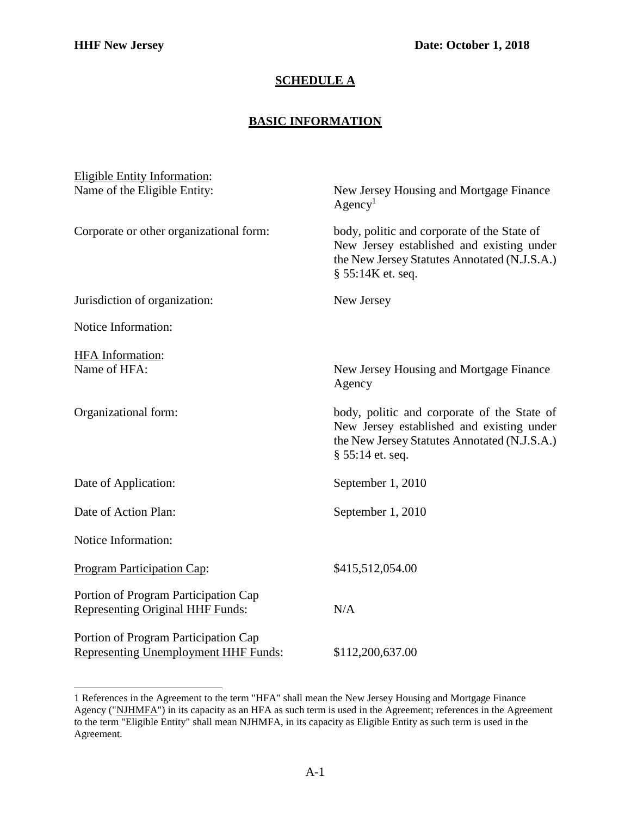## **SCHEDULE A**

## **BASIC INFORMATION**

| <b>Eligible Entity Information:</b>                                                 |                                                                                                                                                               |
|-------------------------------------------------------------------------------------|---------------------------------------------------------------------------------------------------------------------------------------------------------------|
| Name of the Eligible Entity:                                                        | New Jersey Housing and Mortgage Finance<br>Agency <sup>1</sup>                                                                                                |
| Corporate or other organizational form:                                             | body, politic and corporate of the State of<br>New Jersey established and existing under<br>the New Jersey Statutes Annotated (N.J.S.A.)<br>§ 55:14K et. seq. |
| Jurisdiction of organization:                                                       | New Jersey                                                                                                                                                    |
| Notice Information:                                                                 |                                                                                                                                                               |
| HFA Information:<br>Name of HFA:                                                    | New Jersey Housing and Mortgage Finance<br>Agency                                                                                                             |
| Organizational form:                                                                | body, politic and corporate of the State of<br>New Jersey established and existing under<br>the New Jersey Statutes Annotated (N.J.S.A.)<br>§ 55:14 et. seq.  |
| Date of Application:                                                                | September 1, 2010                                                                                                                                             |
| Date of Action Plan:                                                                | September 1, 2010                                                                                                                                             |
| Notice Information:                                                                 |                                                                                                                                                               |
| <b>Program Participation Cap:</b>                                                   | \$415,512,054.00                                                                                                                                              |
| Portion of Program Participation Cap<br><b>Representing Original HHF Funds:</b>     | N/A                                                                                                                                                           |
| Portion of Program Participation Cap<br><b>Representing Unemployment HHF Funds:</b> | \$112,200,637.00                                                                                                                                              |

<span id="page-0-0"></span><sup>1</sup> References in the Agreement to the term "HFA" shall mean the New Jersey Housing and Mortgage Finance Agency ("NJHMFA") in its capacity as an HFA as such term is used in the Agreement; references in the Agreement to the term "Eligible Entity" shall mean NJHMFA, in its capacity as Eligible Entity as such term is used in the Agreement.